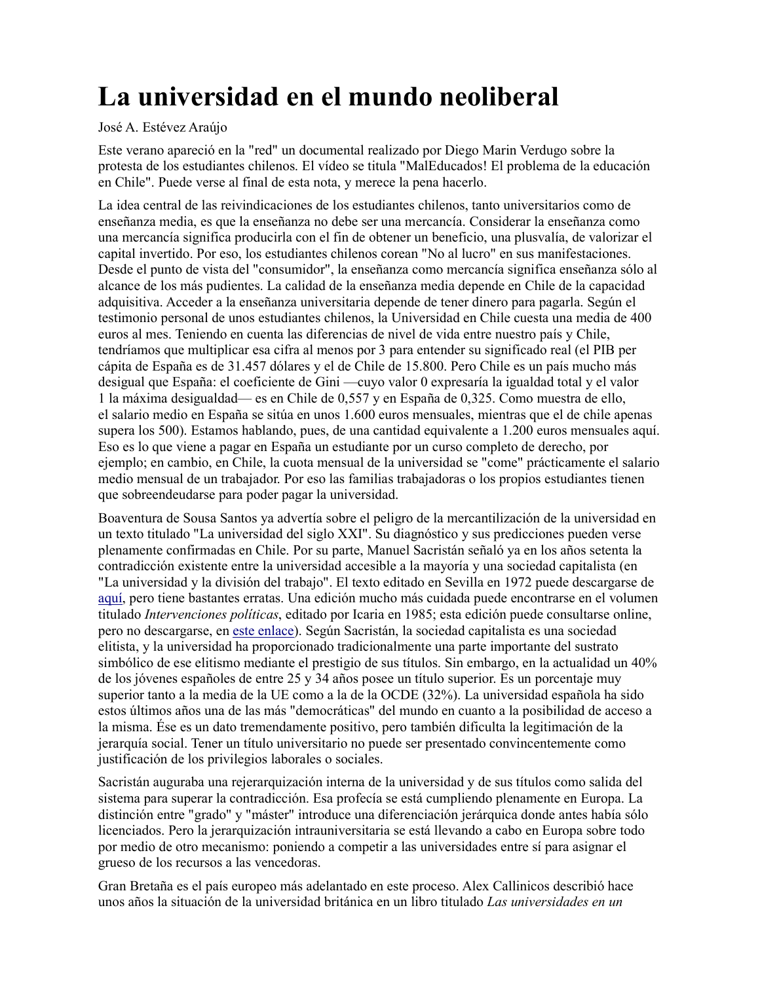## La universidad en el mundo neoliberal

## José A. Estévez Araújo

Este verano apareció en la "red" un documental realizado por Diego Marin Verdugo sobre la protesta de los estudiantes chilenos. El vídeo se titula "MalEducados! El problema de la educación en Chile". Puede verse al final de esta nota, y merece la pena hacerlo.

La idea central de las reivindicaciones de los estudiantes chilenos, tanto universitarios como de enseñanza media, es que la enseñanza no debe ser una mercancía. Considerar la enseñanza como una mercancía significa producirla con el fin de obtener un beneficio, una plusvalía, de valorizar el capital invertido. Por eso, los estudiantes chilenos corean "No al lucro" en sus manifestaciones. Desde el punto de vista del "consumidor", la enseñanza como mercancía significa enseñanza sólo al alcance de los más pudientes. La calidad de la enseñanza media depende en Chile de la capacidad adquisitiva. Acceder a la enseñanza universitaria depende de tener dinero para pagarla. Según el testimonio personal de unos estudiantes chilenos, la Universidad en Chile cuesta una media de 400 euros al mes. Teniendo en cuenta las diferencias de nivel de vida entre nuestro país y Chile, tendríamos que multiplicar esa cifra al menos por 3 para entender su significado real (el PIB per cápita de España es de 31.457 dólares y el de Chile de 15.800. Pero Chile es un país mucho más desigual que España: el coeficiente de Gini —cuyo valor 0 expresaría la igualdad total y el valor 1 la máxima desigualdad— es en Chile de 0.557 y en España de 0.325. Como muestra de ello, el salario medio en España se sitúa en unos 1.600 euros mensuales, mientras que el de chile apenas supera los 500). Estamos hablando, pues, de una cantidad equivalente a 1.200 euros mensuales aquí. Eso es lo que viene a pagar en España un estudiante por un curso completo de derecho, por ejemplo; en cambio, en Chile, la cuota mensual de la universidad se "come" prácticamente el salario medio mensual de un trabajador. Por eso las familias trabajadoras o los propios estudiantes tienen que sobreendeudarse para poder pagar la universidad.

Boaventura de Sousa Santos ya advertía sobre el peligro de la mercantilización de la universidad en un texto titulado "La universidad del siglo XXI". Su diagnóstico y sus predicciones pueden verse plenamente confirmadas en Chile. Por su parte, Manuel Sacristán señaló ya en los años setenta la contradicción existente entre la universidad accesible a la mayoría y una sociedad capitalista (en "La universidad y la división del trabajo". El texto editado en Sevilla en 1972 puede descargarse de aquí, pero tiene bastantes erratas. Una edición mucho más cuidada puede encontrarse en el volumen titulado *Intervenciones políticas*, editado por Icaria en 1985; esta edición puede consultarse online, pero no descargarse, en este enlace). Según Sacristán, la sociedad capitalista es una sociedad elitista, y la universidad ha proporcionado tradicionalmente una parte importante del sustrato simbólico de ese elitismo mediante el prestigio de sus títulos. Sin embargo, en la actualidad un 40% de los jóvenes españoles de entre 25 y 34 años posee un título superior. Es un porcentaje muy superior tanto a la media de la UE como a la de la OCDE (32%). La universidad española ha sido estos últimos años una de las más "democráticas" del mundo en cuanto a la posibilidad de acceso a la misma. Ése es un dato tremendamente positivo, pero también dificulta la legitimación de la jerarquía social. Tener un título universitario no puede ser presentado convincentemente como justificación de los privilegios laborales o sociales.

Sacristán auguraba una rejerarquización interna de la universidad y de sus títulos como salida del sistema para superar la contradicción. Esa profecía se está cumpliendo plenamente en Europa. La distinción entre "grado" y "máster" introduce una diferenciación jerárquica donde antes había sólo licenciados. Pero la jerarquización intrauniversitaria se está llevando a cabo en Europa sobre todo por medio de otro mecanismo: poniendo a competir a las universidades entre sí para asignar el grueso de los recursos a las vencedoras.

Gran Bretaña es el país europeo más adelantado en este proceso. Alex Callinicos describió hace unos años la situación de la universidad británica en un libro titulado Las universidades en un